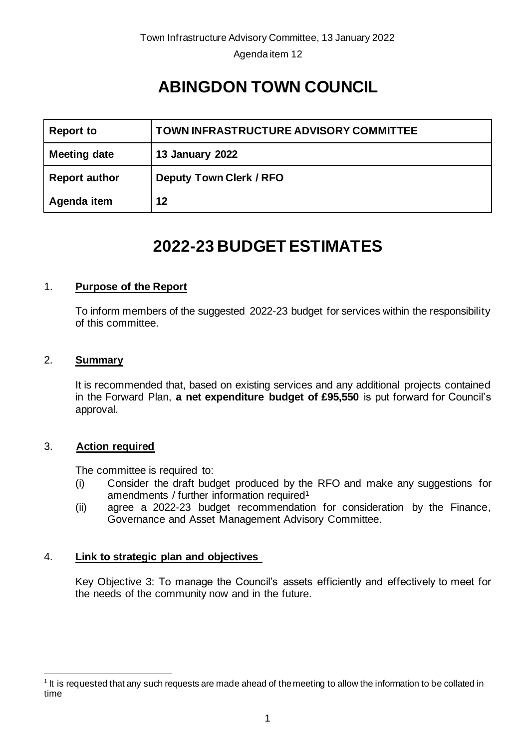Agenda item 12

# **ABINGDON TOWN COUNCIL**

| <b>Report to</b>     | TOWN INFRASTRUCTURE ADVISORY COMMITTEE |
|----------------------|----------------------------------------|
| <b>Meeting date</b>  | <b>13 January 2022</b>                 |
| <b>Report author</b> | <b>Deputy Town Clerk / RFO</b>         |
| Agenda item          | 12                                     |

# **2022-23 BUDGET ESTIMATES**

# 1. **Purpose of the Report**

To inform members of the suggested 2022-23 budget for services within the responsibility of this committee.

#### 2. **Summary**

It is recommended that, based on existing services and any additional projects contained in the Forward Plan, **a net expenditure budget of £95,550** is put forward for Council's approval.

#### 3. **Action required**

The committee is required to:

- (i) Consider the draft budget produced by the RFO and make any suggestions for amendments / further information required<sup>1</sup>
- (ii) agree a 2022-23 budget recommendation for consideration by the Finance, Governance and Asset Management Advisory Committee.

### 4. **Link to strategic plan and objectives**

Key Objective 3: To manage the Council's assets efficiently and effectively to meet for the needs of the community now and in the future.

 $1$  It is requested that any such requests are made ahead of the meeting to allow the information to be collated in time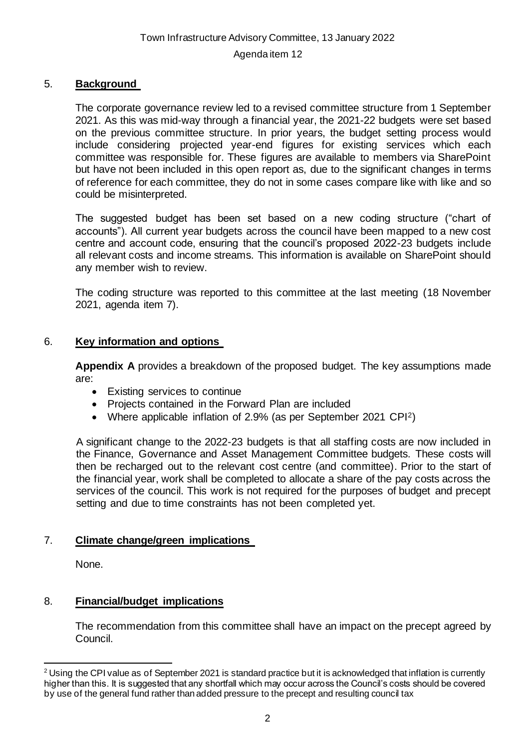#### Agenda item 12

#### 5. **Background**

The corporate governance review led to a revised committee structure from 1 September 2021. As this was mid-way through a financial year, the 2021-22 budgets were set based on the previous committee structure. In prior years, the budget setting process would include considering projected year-end figures for existing services which each committee was responsible for. These figures are available to members via SharePoint but have not been included in this open report as, due to the significant changes in terms of reference for each committee, they do not in some cases compare like with like and so could be misinterpreted.

The suggested budget has been set based on a new coding structure ("chart of accounts"). All current year budgets across the council have been mapped to a new cost centre and account code, ensuring that the council's proposed 2022-23 budgets include all relevant costs and income streams. This information is available on SharePoint should any member wish to review.

The coding structure was reported to this committee at the last meeting (18 November 2021, agenda item 7).

#### 6. **Key information and options**

**Appendix A** provides a breakdown of the proposed budget. The key assumptions made are:

- Existing services to continue
- Projects contained in the Forward Plan are included
- Where applicable inflation of 2.9% (as per September 2021 CPI2)

A significant change to the 2022-23 budgets is that all staffing costs are now included in the Finance, Governance and Asset Management Committee budgets. These costs will then be recharged out to the relevant cost centre (and committee). Prior to the start of the financial year, work shall be completed to allocate a share of the pay costs across the services of the council. This work is not required for the purposes of budget and precept setting and due to time constraints has not been completed yet.

#### 7. **Climate change/green implications**

None.

### 8. **Financial/budget implications**

The recommendation from this committee shall have an impact on the precept agreed by Council.

<sup>&</sup>lt;sup>2</sup> Using the CPI value as of September 2021 is standard practice but it is acknowledged that inflation is currently higher than this. It is suggested that any shortfall which may occur across the Council's costs should be covered by use of the general fund rather than added pressure to the precept and resulting council tax